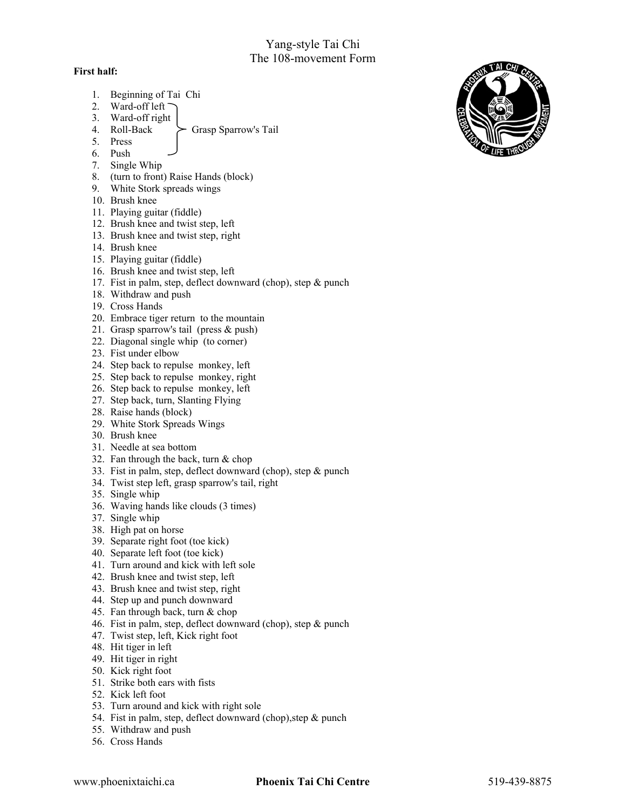## Yang-style Tai Chi The 108-movement Form

## **First half:**

- 1. Beginning of Tai Chi
- 2. Ward-off left
- 3. Ward-off right
	- Grasp Sparrow's Tail
- 5. Press
- 6. Push
- 7. Single Whip
- 8. (turn to front) Raise Hands (block)
- 9. White Stork spreads wings
- 10. Brush knee
- 11. Playing guitar (fiddle)
- 12. Brush knee and twist step, left
- 13. Brush knee and twist step, right
- 14. Brush knee
- 15. Playing guitar (fiddle)
- 16. Brush knee and twist step, left
- 17. Fist in palm, step, deflect downward (chop), step & punch
- 18. Withdraw and push
- 19. Cross Hands
- 20. Embrace tiger return to the mountain
- 21. Grasp sparrow's tail (press & push)
- 22. Diagonal single whip (to corner)
- 23. Fist under elbow
- 24. Step back to repulse monkey, left
- 25. Step back to repulse monkey, right
- 26. Step back to repulse monkey, left
- 27. Step back, turn, Slanting Flying
- 28. Raise hands (block)
- 29. White Stork Spreads Wings
- 30. Brush knee
- 31. Needle at sea bottom
- 32. Fan through the back, turn & chop
- 33. Fist in palm, step, deflect downward (chop), step & punch
- 34. Twist step left, grasp sparrow's tail, right
- 35. Single whip
- 36. Waving hands like clouds (3 times)
- 37. Single whip
- 38. High pat on horse
- 39. Separate right foot (toe kick)
- 40. Separate left foot (toe kick)
- 41. Turn around and kick with left sole
- 42. Brush knee and twist step, left
- 43. Brush knee and twist step, right
- 44. Step up and punch downward
- 45. Fan through back, turn & chop
- 46. Fist in palm, step, deflect downward (chop), step & punch
- 47. Twist step, left, Kick right foot
- 48. Hit tiger in left
- 49. Hit tiger in right
- 50. Kick right foot
- 51. Strike both ears with fists
- 52. Kick left foot
- 53. Turn around and kick with right sole
- 54. Fist in palm, step, deflect downward (chop),step & punch
- 55. Withdraw and push
- 56. Cross Hands